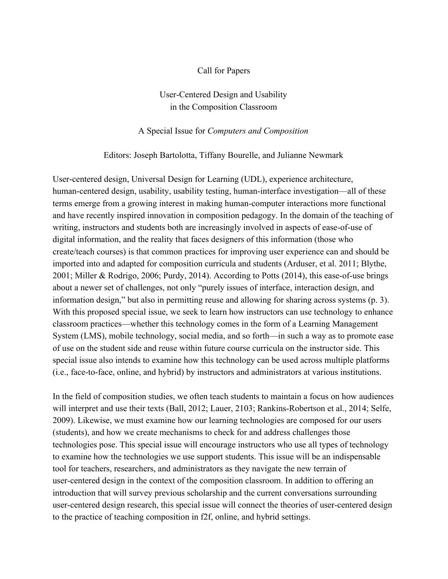### Call for Papers

## User-Centered Design and Usability in the Composition Classroom

#### A Special Issue for *Computers and Composition*

#### Editors: Joseph Bartolotta, Tiffany Bourelle, and Julianne Newmark

User-centered design, Universal Design for Learning (UDL), experience architecture, human-centered design, usability, usability testing, human-interface investigation—all of these terms emerge from a growing interest in making human-computer interactions more functional and have recently inspired innovation in composition pedagogy. In the domain of the teaching of writing, instructors and students both are increasingly involved in aspects of ease-of-use of digital information, and the reality that faces designers of this information (those who create/teach courses) is that common practices for improving user experience can and should be imported into and adapted for composition curricula and students (Arduser, et al. 2011; Blythe, 2001; Miller & Rodrigo, 2006; Purdy, 2014). According to Potts  $(2014)$ , this ease-of-use brings about a newer set of challenges, not only "purely issues of interface, interaction design, and information design," but also in permitting reuse and allowing for sharing across systems (p. 3). With this proposed special issue, we seek to learn how instructors can use technology to enhance classroom practices—whether this technology comes in the form of a Learning Management System (LMS), mobile technology, social media, and so forth—in such a way as to promote ease of use on the student side and reuse within future course curricula on the instructor side. This special issue also intends to examine how this technology can be used across multiple platforms (i.e., face-to-face, online, and hybrid) by instructors and administrators at various institutions.

In the field of composition studies, we often teach students to maintain a focus on how audiences will interpret and use their texts (Ball, 2012; Lauer, 2103; Rankins-Robertson et al., 2014; Selfe, 2009). Likewise, we must examine how our learning technologies are composed for our users (students), and how we create mechanisms to check for and address challenges those technologies pose. This special issue will encourage instructors who use all types of technology to examine how the technologies we use support students. This issue will be an indispensable tool for teachers, researchers, and administrators as they navigate the new terrain of user-centered design in the context of the composition classroom. In addition to offering an introduction that will survey previous scholarship and the current conversations surrounding user-centered design research, this special issue will connect the theories of user-centered design to the practice of teaching composition in f2f, online, and hybrid settings.